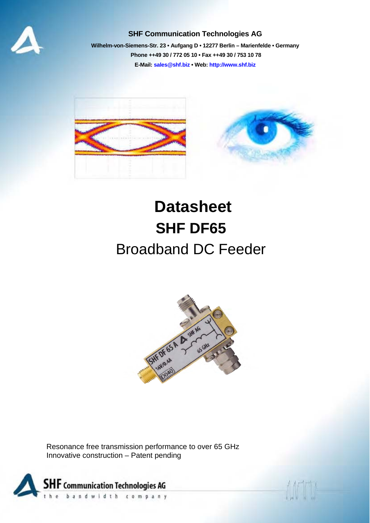

## **SHF Communication Technologies AG**

**Wilhelm-von-Siemens-Str. 23 • Aufgang D • 12277 Berlin – Marienfelde • Germany Phone ++49 30 / 772 05 10 • Fax ++49 30 / 753 10 78 E-Mail: sales@shf.biz • Web: http://www.shf.biz**



## **Datasheet SHF DF65**  Broadband DC Feeder



Resonance free transmission performance to over 65 GHz Innovative construction – Patent pending

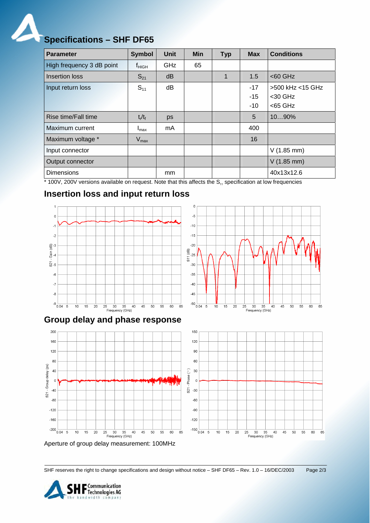

| <b>Parameter</b>          | <b>Symbol</b>     | <b>Unit</b> | <b>Min</b> | <b>Typ</b> | <b>Max</b> | <b>Conditions</b>    |
|---------------------------|-------------------|-------------|------------|------------|------------|----------------------|
| High frequency 3 dB point | <sup>t</sup> HIGH | GHz         | 65         |            |            |                      |
| Insertion loss            | $S_{21}$          | dB          |            | 1          | 1.5        | $<$ 60 GHz           |
| Input return loss         | $S_{11}$          | dB          |            |            | $-17$      | >500 kHz <15 GHz     |
|                           |                   |             |            |            | $-15$      | $<$ 30 GHz           |
|                           |                   |             |            |            | $-10$      | $<$ 65 GHz           |
| Rise time/Fall time       | $t_r/t_f$         | ps          |            |            | 5          | 1090%                |
| Maximum current           | $I_{\text{max}}$  | mA.         |            |            | 400        |                      |
| Maximum voltage *         | $V_{\text{max}}$  |             |            |            | 16         |                      |
| Input connector           |                   |             |            |            |            | $V(1.85 \text{ mm})$ |
| Output connector          |                   |             |            |            |            | $V(1.85$ mm)         |
| <b>Dimensions</b>         |                   | mm          |            |            |            | 40x13x12.6           |

 $\epsilon$ 

 $-5$  $-10$ 

 $-15$ 

 $-20$  $\overline{a}$ 

 $-25$  $51$ 

 $-30$  $-35$ 

 $-40$ 

 $-45$ 

 $-50$   $-1$  0.04 5

 $10$  $15$  $\overline{20}$  25 30 35 40<br>Frequency (GHz)

 $45$  $50$  $55$  $60$  $\overline{65}$ 

 $*$  100V, 200V versions available on request. Note that this affects the  $S_{11}$  specification at low frequencies

## **Insertion loss and input return loss**







Aperture of group delay measurement: 100MHz

SHF reserves the right to change specifications and design without notice – SHF DF65 – Rev. 1.0 – 16/DEC/2003 Page 2/3